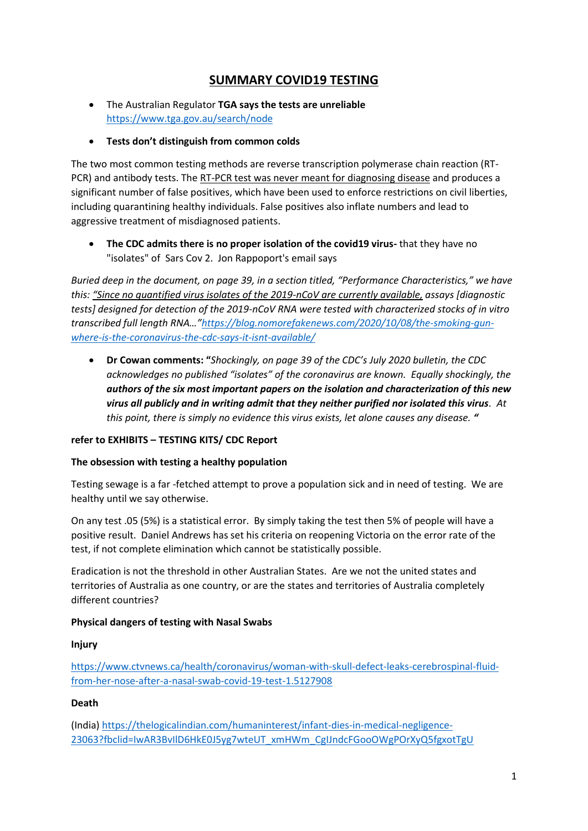# **SUMMARY COVID19 TESTING**

- The Australian Regulator **TGA says the tests are unreliable**  <https://www.tga.gov.au/search/node>
- **Tests don't distinguish from common colds**

The two most common testing methods are reverse transcription polymerase chain reaction (RT-PCR) and antibody tests. The RT-PCR test was never meant for diagnosing disease and produces a significant number of false positives, which have been used to enforce restrictions on civil liberties, including quarantining healthy individuals. False positives also inflate numbers and lead to aggressive treatment of misdiagnosed patients.

• **The CDC admits there is no proper isolation of the covid19 virus-** that they have no "isolates" of Sars Cov 2. Jon Rappoport's email says

*Buried deep in the document, on page 39, in a section titled, "Performance Characteristics," we have this: "Since no quantified virus isolates of the 2019-nCoV are currently available, assays [diagnostic tests] designed for detection of the 2019-nCoV RNA were tested with characterized stocks of in vitro transcribed full length RNA…"[https://blog.nomorefakenews.com/2020/10/08/the-smoking-gun](https://blog.nomorefakenews.com/2020/10/08/the-smoking-gun-where-is-the-coronavirus-the-cdc-says-it-isnt-available/)[where-is-the-coronavirus-the-cdc-says-it-isnt-available/](https://blog.nomorefakenews.com/2020/10/08/the-smoking-gun-where-is-the-coronavirus-the-cdc-says-it-isnt-available/)*

• **Dr Cowan comments: "***Shockingly, on page 39 of the CDC's July 2020 bulletin, the CDC acknowledges no published "isolates" of the coronavirus are known. Equally shockingly, the authors of the six most important papers on the isolation and characterization of this new virus all publicly and in writing admit that they neither purified nor isolated this virus. At this point, there is simply no evidence this virus exists, let alone causes any disease. "*

## **refer to EXHIBITS – TESTING KITS/ CDC Report**

#### **The obsession with testing a healthy population**

Testing sewage is a far -fetched attempt to prove a population sick and in need of testing. We are healthy until we say otherwise.

On any test .05 (5%) is a statistical error. By simply taking the test then 5% of people will have a positive result. Daniel Andrews has set his criteria on reopening Victoria on the error rate of the test, if not complete elimination which cannot be statistically possible.

Eradication is not the threshold in other Australian States. Are we not the united states and territories of Australia as one country, or are the states and territories of Australia completely different countries?

## **Physical dangers of testing with Nasal Swabs**

**Injury** 

[https://www.ctvnews.ca/health/coronavirus/woman-with-skull-defect-leaks-cerebrospinal-fluid](https://www.ctvnews.ca/health/coronavirus/woman-with-skull-defect-leaks-cerebrospinal-fluid-from-her-nose-after-a-nasal-swab-covid-19-test-1.5127908)[from-her-nose-after-a-nasal-swab-covid-19-test-1.5127908](https://www.ctvnews.ca/health/coronavirus/woman-with-skull-defect-leaks-cerebrospinal-fluid-from-her-nose-after-a-nasal-swab-covid-19-test-1.5127908)

#### **Death**

(India) [https://thelogicalindian.com/humaninterest/infant-dies-in-medical-negligence-](https://thelogicalindian.com/humaninterest/infant-dies-in-medical-negligence-23063?fbclid=IwAR3BvIlD6HkE0J5yg7wteUT_xmHWm_CgIJndcFGooOWgPOrXyQ5fgxotTgU)[23063?fbclid=IwAR3BvIlD6HkE0J5yg7wteUT\\_xmHWm\\_CgIJndcFGooOWgPOrXyQ5fgxotTgU](https://thelogicalindian.com/humaninterest/infant-dies-in-medical-negligence-23063?fbclid=IwAR3BvIlD6HkE0J5yg7wteUT_xmHWm_CgIJndcFGooOWgPOrXyQ5fgxotTgU)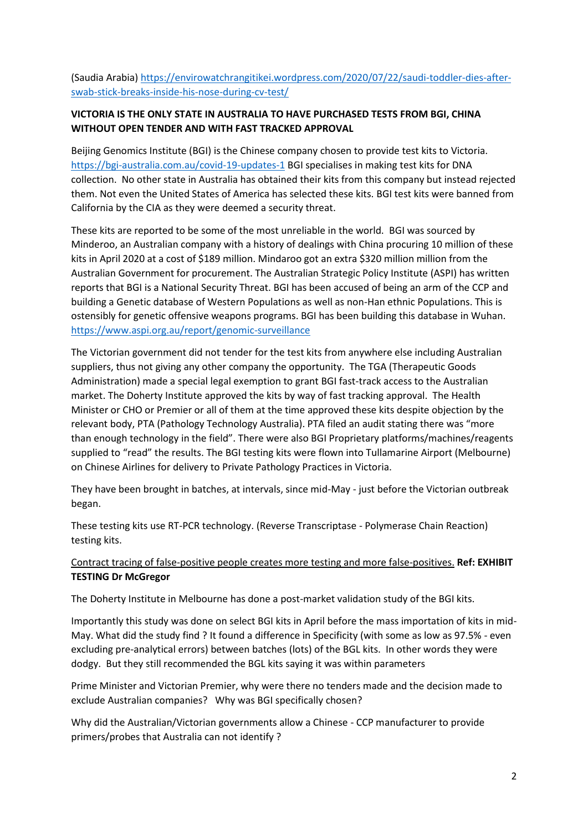(Saudia Arabia) [https://envirowatchrangitikei.wordpress.com/2020/07/22/saudi-toddler-dies-after](https://envirowatchrangitikei.wordpress.com/2020/07/22/saudi-toddler-dies-after-swab-stick-breaks-inside-his-nose-during-cv-test/)[swab-stick-breaks-inside-his-nose-during-cv-test/](https://envirowatchrangitikei.wordpress.com/2020/07/22/saudi-toddler-dies-after-swab-stick-breaks-inside-his-nose-during-cv-test/)

# **VICTORIA IS THE ONLY STATE IN AUSTRALIA TO HAVE PURCHASED TESTS FROM BGI, CHINA WITHOUT OPEN TENDER AND WITH FAST TRACKED APPROVAL**

Beijing Genomics Institute (BGI) is the Chinese company chosen to provide test kits to Victoria. <https://bgi-australia.com.au/covid-19-updates-1> BGI specialises in making test kits for DNA collection. No other state in Australia has obtained their kits from this company but instead rejected them. Not even the United States of America has selected these kits. BGI test kits were banned from California by the CIA as they were deemed a security threat.

These kits are reported to be some of the most unreliable in the world. BGI was sourced by Minderoo, an Australian company with a history of dealings with China procuring 10 million of these kits in April 2020 at a cost of \$189 million. Mindaroo got an extra \$320 million million from the Australian Government for procurement. The Australian Strategic Policy Institute (ASPI) has written reports that BGI is a National Security Threat. BGI has been accused of being an arm of the CCP and building a Genetic database of Western Populations as well as non-Han ethnic Populations. This is ostensibly for genetic offensive weapons programs. BGI has been building this database in Wuhan. <https://www.aspi.org.au/report/genomic-surveillance>

The Victorian government did not tender for the test kits from anywhere else including Australian suppliers, thus not giving any other company the opportunity. The TGA (Therapeutic Goods Administration) made a special legal exemption to grant BGI fast-track access to the Australian market. The Doherty Institute approved the kits by way of fast tracking approval. The Health Minister or CHO or Premier or all of them at the time approved these kits despite objection by the relevant body, PTA (Pathology Technology Australia). PTA filed an audit stating there was "more than enough technology in the field". There were also BGI Proprietary platforms/machines/reagents supplied to "read" the results. The BGI testing kits were flown into Tullamarine Airport (Melbourne) on Chinese Airlines for delivery to Private Pathology Practices in Victoria.

They have been brought in batches, at intervals, since mid-May - just before the Victorian outbreak began.

These testing kits use RT-PCR technology. (Reverse Transcriptase - Polymerase Chain Reaction) testing kits.

## Contract tracing of false-positive people creates more testing and more false-positives. **Ref: EXHIBIT TESTING Dr McGregor**

The Doherty Institute in Melbourne has done a post-market validation study of the BGI kits.

Importantly this study was done on select BGI kits in April before the mass importation of kits in mid-May. What did the study find ? It found a difference in Specificity (with some as low as 97.5% - even excluding pre-analytical errors) between batches (lots) of the BGL kits. In other words they were dodgy. But they still recommended the BGL kits saying it was within parameters

Prime Minister and Victorian Premier, why were there no tenders made and the decision made to exclude Australian companies? Why was BGI specifically chosen?

Why did the Australian/Victorian governments allow a Chinese - CCP manufacturer to provide primers/probes that Australia can not identify ?